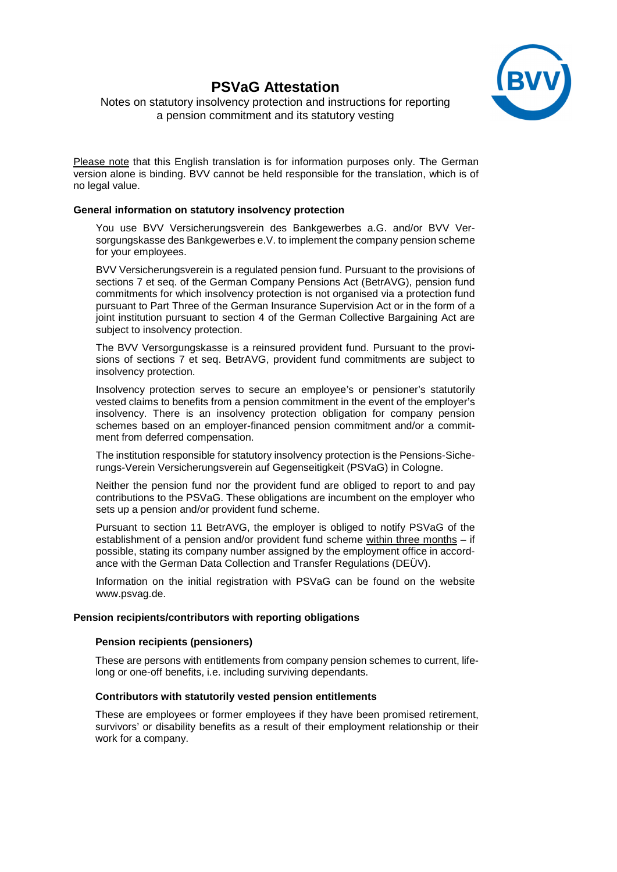# **PSVaG Attestation**



Notes on statutory insolvency protection and instructions for reporting a pension commitment and its statutory vesting

Please note that this English translation is for information purposes only. The German version alone is binding. BVV cannot be held responsible for the translation, which is of no legal value.

# **General information on statutory insolvency protection**

You use BVV Versicherungsverein des Bankgewerbes a.G. and/or BVV Versorgungskasse des Bankgewerbes e.V. to implement the company pension scheme for your employees.

BVV Versicherungsverein is a regulated pension fund. Pursuant to the provisions of sections 7 et seq. of the German Company Pensions Act (BetrAVG), pension fund commitments for which insolvency protection is not organised via a protection fund pursuant to Part Three of the German Insurance Supervision Act or in the form of a joint institution pursuant to section 4 of the German Collective Bargaining Act are subject to insolvency protection.

The BVV Versorgungskasse is a reinsured provident fund. Pursuant to the provisions of sections 7 et seq. BetrAVG, provident fund commitments are subject to insolvency protection.

Insolvency protection serves to secure an employee's or pensioner's statutorily vested claims to benefits from a pension commitment in the event of the employer's insolvency. There is an insolvency protection obligation for company pension schemes based on an employer-financed pension commitment and/or a commitment from deferred compensation.

The institution responsible for statutory insolvency protection is the Pensions-Sicherungs-Verein Versicherungsverein auf Gegenseitigkeit (PSVaG) in Cologne.

Neither the pension fund nor the provident fund are obliged to report to and pay contributions to the PSVaG. These obligations are incumbent on the employer who sets up a pension and/or provident fund scheme.

Pursuant to section 11 BetrAVG, the employer is obliged to notify PSVaG of the establishment of a pension and/or provident fund scheme within three months – if possible, stating its company number assigned by the employment office in accordance with the German Data Collection and Transfer Regulations (DEÜV).

Information on the initial registration with PSVaG can be found on the website www.psvag.de.

# **Pension recipients/contributors with reporting obligations**

## **Pension recipients (pensioners)**

These are persons with entitlements from company pension schemes to current, lifelong or one-off benefits, i.e. including surviving dependants.

#### **Contributors with statutorily vested pension entitlements**

These are employees or former employees if they have been promised retirement, survivors' or disability benefits as a result of their employment relationship or their work for a company.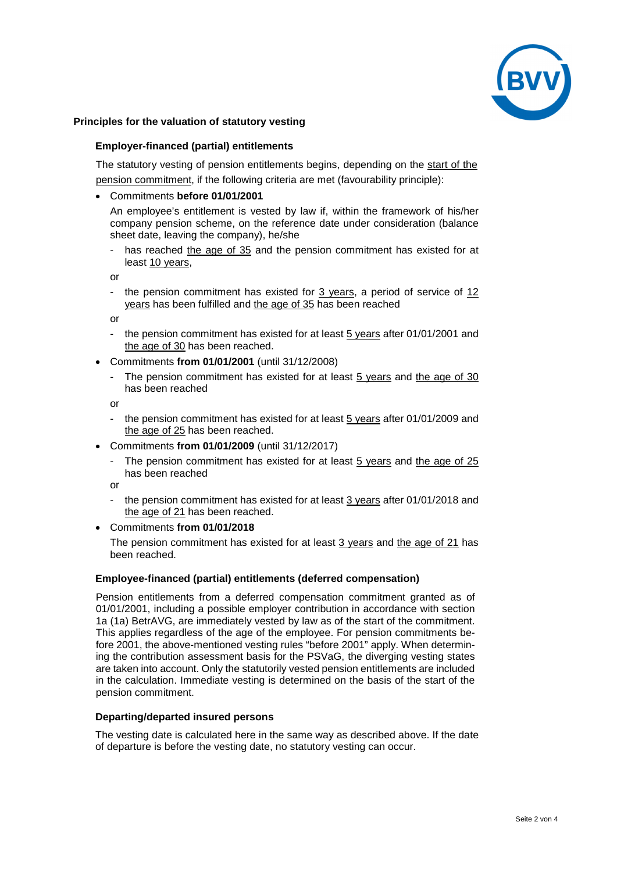

# **Principles for the valuation of statutory vesting**

## **Employer-financed (partial) entitlements**

The statutory vesting of pension entitlements begins, depending on the start of the pension commitment, if the following criteria are met (favourability principle):

#### • Commitments **before 01/01/2001**

An employee's entitlement is vested by law if, within the framework of his/her company pension scheme, on the reference date under consideration (balance sheet date, leaving the company), he/she

has reached the age of 35 and the pension commitment has existed for at least 10 years,

or

- the pension commitment has existed for 3 years, a period of service of 12 years has been fulfilled and the age of 35 has been reached

or

- the pension commitment has existed for at least 5 years after 01/01/2001 and the age of 30 has been reached.
- Commitments **from 01/01/2001** (until 31/12/2008)
	- The pension commitment has existed for at least 5 years and the age of 30 has been reached

or

- the pension commitment has existed for at least 5 years after 01/01/2009 and the age of 25 has been reached.
- Commitments **from 01/01/2009** (until 31/12/2017)
	- The pension commitment has existed for at least 5 years and the age of 25 has been reached

or

the pension commitment has existed for at least 3 years after 01/01/2018 and the age of 21 has been reached.

## • Commitments **from 01/01/2018**

The pension commitment has existed for at least 3 years and the age of 21 has been reached.

#### **Employee-financed (partial) entitlements (deferred compensation)**

Pension entitlements from a deferred compensation commitment granted as of 01/01/2001, including a possible employer contribution in accordance with section 1a (1a) BetrAVG, are immediately vested by law as of the start of the commitment. This applies regardless of the age of the employee. For pension commitments before 2001, the above-mentioned vesting rules "before 2001" apply. When determining the contribution assessment basis for the PSVaG, the diverging vesting states are taken into account. Only the statutorily vested pension entitlements are included in the calculation. Immediate vesting is determined on the basis of the start of the pension commitment.

#### **Departing/departed insured persons**

The vesting date is calculated here in the same way as described above. If the date of departure is before the vesting date, no statutory vesting can occur.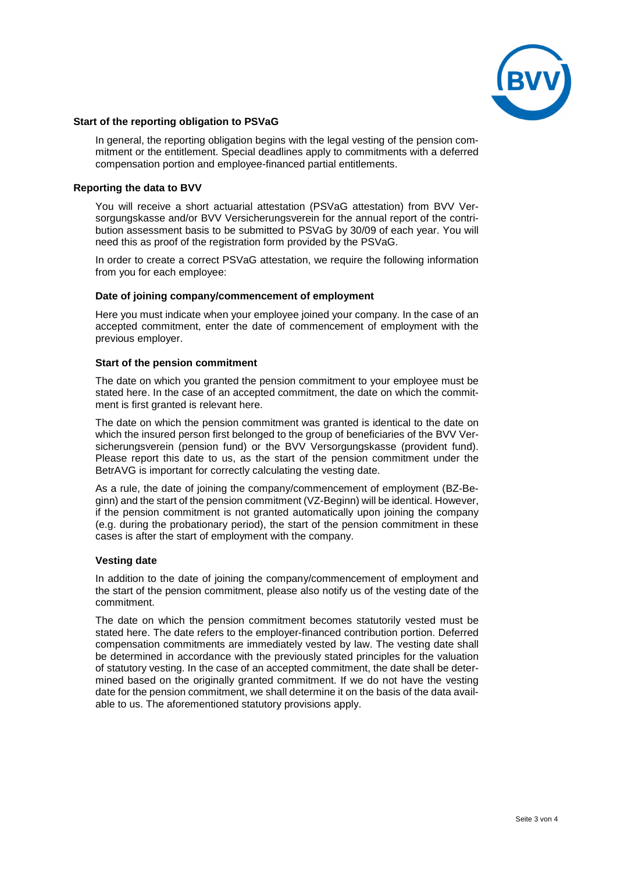

## **Start of the reporting obligation to PSVaG**

In general, the reporting obligation begins with the legal vesting of the pension commitment or the entitlement. Special deadlines apply to commitments with a deferred compensation portion and employee-financed partial entitlements.

## **Reporting the data to BVV**

You will receive a short actuarial attestation (PSVaG attestation) from BVV Versorgungskasse and/or BVV Versicherungsverein for the annual report of the contribution assessment basis to be submitted to PSVaG by 30/09 of each year. You will need this as proof of the registration form provided by the PSVaG.

In order to create a correct PSVaG attestation, we require the following information from you for each employee:

#### **Date of joining company/commencement of employment**

Here you must indicate when your employee joined your company. In the case of an accepted commitment, enter the date of commencement of employment with the previous employer.

#### **Start of the pension commitment**

The date on which you granted the pension commitment to your employee must be stated here. In the case of an accepted commitment, the date on which the commitment is first granted is relevant here.

The date on which the pension commitment was granted is identical to the date on which the insured person first belonged to the group of beneficiaries of the BVV Versicherungsverein (pension fund) or the BVV Versorgungskasse (provident fund). Please report this date to us, as the start of the pension commitment under the BetrAVG is important for correctly calculating the vesting date.

As a rule, the date of joining the company/commencement of employment (BZ-Beginn) and the start of the pension commitment (VZ-Beginn) will be identical. However, if the pension commitment is not granted automatically upon joining the company (e.g. during the probationary period), the start of the pension commitment in these cases is after the start of employment with the company.

#### **Vesting date**

In addition to the date of joining the company/commencement of employment and the start of the pension commitment, please also notify us of the vesting date of the commitment.

The date on which the pension commitment becomes statutorily vested must be stated here. The date refers to the employer-financed contribution portion. Deferred compensation commitments are immediately vested by law. The vesting date shall be determined in accordance with the previously stated principles for the valuation of statutory vesting. In the case of an accepted commitment, the date shall be determined based on the originally granted commitment. If we do not have the vesting date for the pension commitment, we shall determine it on the basis of the data available to us. The aforementioned statutory provisions apply.